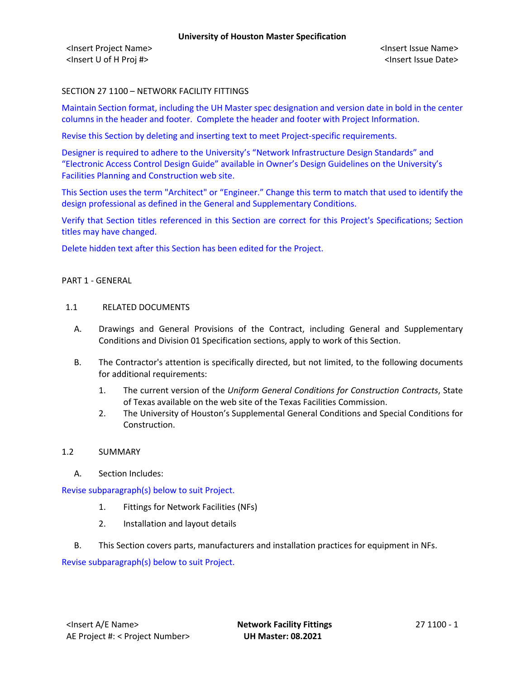# SECTION 27 1100 – NETWORK FACILITY FITTINGS

Maintain Section format, including the UH Master spec designation and version date in bold in the center columns in the header and footer. Complete the header and footer with Project Information.

Revise this Section by deleting and inserting text to meet Project-specific requirements.

Designer is required to adhere to the University's "Network Infrastructure Design Standards" and "Electronic Access Control Design Guide" available in Owner's Design Guidelines on the University's Facilities Planning and Construction web site.

This Section uses the term "Architect" or "Engineer." Change this term to match that used to identify the design professional as defined in the General and Supplementary Conditions.

Verify that Section titles referenced in this Section are correct for this Project's Specifications; Section titles may have changed.

Delete hidden text after this Section has been edited for the Project.

#### PART 1 - GENERAL

#### 1.1 RELATED DOCUMENTS

- A. Drawings and General Provisions of the Contract, including General and Supplementary Conditions and Division 01 Specification sections, apply to work of this Section.
- B. The Contractor's attention is specifically directed, but not limited, to the following documents for additional requirements:
	- 1. The current version of the *Uniform General Conditions for Construction Contracts*, State of Texas available on the web site of the Texas Facilities Commission.
	- 2. The University of Houston's Supplemental General Conditions and Special Conditions for Construction.

### 1.2 SUMMARY

A. Section Includes:

### Revise subparagraph(s) below to suit Project.

- 1. Fittings for Network Facilities (NFs)
- 2. Installation and layout details
- B. This Section covers parts, manufacturers and installation practices for equipment in NFs.

Revise subparagraph(s) below to suit Project.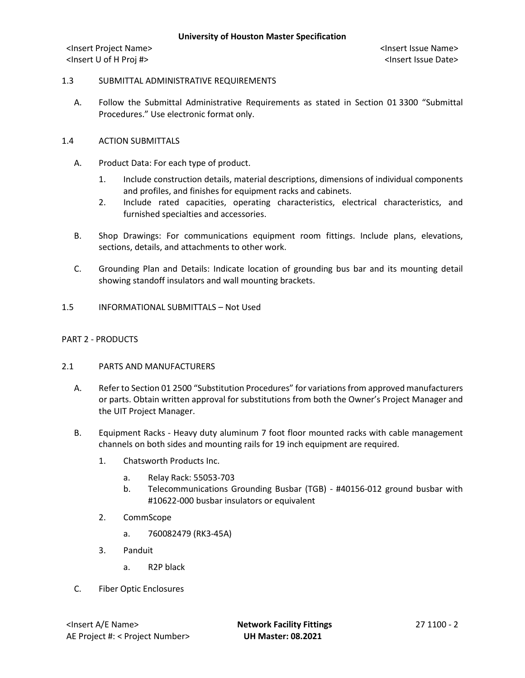## 1.3 SUBMITTAL ADMINISTRATIVE REQUIREMENTS

A. Follow the Submittal Administrative Requirements as stated in Section 01 3300 "Submittal Procedures." Use electronic format only.

## 1.4 ACTION SUBMITTALS

- A. Product Data: For each type of product.
	- 1. Include construction details, material descriptions, dimensions of individual components and profiles, and finishes for equipment racks and cabinets.
	- 2. Include rated capacities, operating characteristics, electrical characteristics, and furnished specialties and accessories.
- B. Shop Drawings: For communications equipment room fittings. Include plans, elevations, sections, details, and attachments to other work.
- C. Grounding Plan and Details: Indicate location of grounding bus bar and its mounting detail showing standoff insulators and wall mounting brackets.
- 1.5 INFORMATIONAL SUBMITTALS Not Used

## PART 2 - PRODUCTS

### 2.1 PARTS AND MANUFACTURERS

- A. Refer to Section 01 2500 "Substitution Procedures" for variations from approved manufacturers or parts. Obtain written approval for substitutions from both the Owner's Project Manager and the UIT Project Manager.
- B. Equipment Racks Heavy duty aluminum 7 foot floor mounted racks with cable management channels on both sides and mounting rails for 19 inch equipment are required.
	- 1. Chatsworth Products Inc.
		- a. Relay Rack: 55053-703
		- b. Telecommunications Grounding Busbar (TGB) #40156-012 ground busbar with #10622-000 busbar insulators or equivalent
	- 2. CommScope
		- a. 760082479 (RK3-45A)
	- 3. Panduit
		- a. R2P black
- C. Fiber Optic Enclosures

<Insert A/E Name> **Network Facility Fittings** 27 1100 - 2 AE Project #: < Project Number> **UH Master: 08.2021**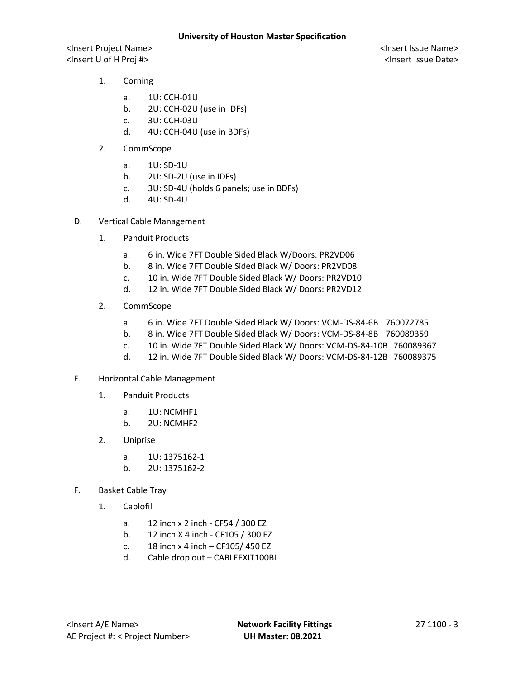- 1. Corning
	- a. 1U: CCH-01U
	- b. 2U: CCH-02U (use in IDFs)
	- c. 3U: CCH-03U
	- d. 4U: CCH-04U (use in BDFs)
- 2. CommScope
	- a. 1U: SD-1U
	- b. 2U: SD-2U (use in IDFs)
	- c. 3U: SD-4U (holds 6 panels; use in BDFs)
	- d. 4U: SD-4U
- D. Vertical Cable Management
	- 1. Panduit Products
		- a. 6 in. Wide 7FT Double Sided Black W/Doors: PR2VD06
		- b. 8 in. Wide 7FT Double Sided Black W/ Doors: PR2VD08
		- c. 10 in. Wide 7FT Double Sided Black W/ Doors: PR2VD10
		- d. 12 in. Wide 7FT Double Sided Black W/ Doors: PR2VD12
	- 2. CommScope
		- a. 6 in. Wide 7FT Double Sided Black W/ Doors: VCM-DS-84-6B 760072785
		- b. 8 in. Wide 7FT Double Sided Black W/ Doors: VCM-DS-84-8B 760089359
		- c. 10 in. Wide 7FT Double Sided Black W/ Doors: VCM-DS-84-10B 760089367
		- d. 12 in. Wide 7FT Double Sided Black W/ Doors: VCM-DS-84-12B 760089375
- E. Horizontal Cable Management
	- 1. Panduit Products
		- a. 1U: NCMHF1
		- b. 2U: NCMHF2
	- 2. Uniprise
		- a. 1U: 1375162-1
		- b. 2U: 1375162-2
- F. Basket Cable Tray
	- 1. Cablofil
		- a. 12 inch x 2 inch CF54 / 300 EZ
		- b. 12 inch X 4 inch CF105 / 300 EZ
		- c.  $18$  inch x 4 inch CF105/ 450 EZ
		- d. Cable drop out CABLEEXIT100BL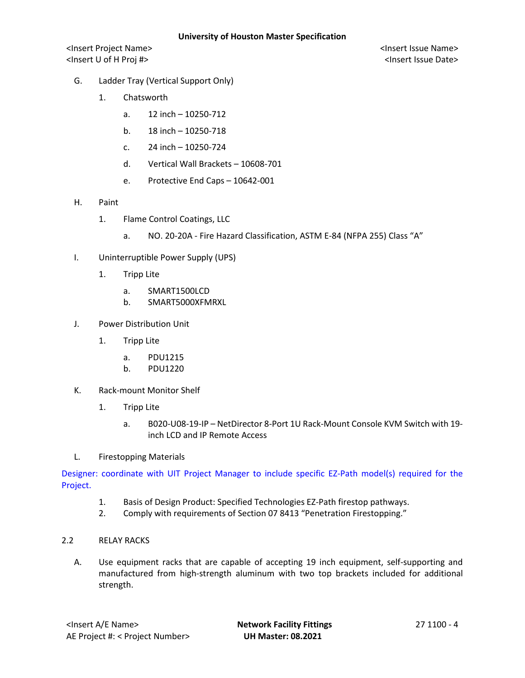- G. Ladder Tray (Vertical Support Only)
	- 1. Chatsworth
		- a. 12 inch 10250-712
		- b. 18 inch 10250-718
		- c. 24 inch 10250-724
		- d. Vertical Wall Brackets 10608-701
		- e. Protective End Caps 10642-001
- H. Paint
	- 1. Flame Control Coatings, LLC
		- a. NO. 20-20A Fire Hazard Classification, ASTM E-84 (NFPA 255) Class "A"
- I. Uninterruptible Power Supply (UPS)
	- 1. Tripp Lite
		- a. SMART1500LCD
		- b. SMART5000XFMRXL
- J. Power Distribution Unit
	- 1. Tripp Lite
		- a. PDU1215
		- b. PDU1220
- K. Rack-mount Monitor Shelf
	- 1. Tripp Lite
		- a. B020-U08-19-IP NetDirector 8-Port 1U Rack-Mount Console KVM Switch with 19 inch LCD and IP Remote Access
- L. Firestopping Materials

Designer: coordinate with UIT Project Manager to include specific EZ-Path model(s) required for the Project.

- 1. Basis of Design Product: Specified Technologies EZ-Path firestop pathways.
- 2. Comply with requirements of Section 07 8413 "Penetration Firestopping."
- 2.2 RELAY RACKS
	- A. Use equipment racks that are capable of accepting 19 inch equipment, self-supporting and manufactured from high-strength aluminum with two top brackets included for additional strength.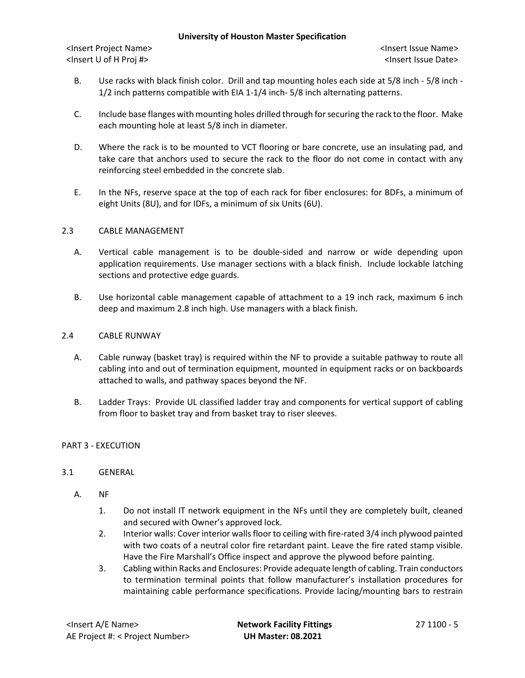### **University of Houston Master Specification**

<Insert Project Name> <Insert Issue Name> <Insert U of H Proj #> <Insert Issue Date>

- B. Use racks with black finish color. Drill and tap mounting holes each side at 5/8 inch 5/8 inch 1/2 inch patterns compatible with EIA 1-1/4 inch- 5/8 inch alternating patterns.
- C. Include base flanges with mounting holes drilled through for securing the rack to the floor. Make each mounting hole at least 5/8 inch in diameter.
- D. Where the rack is to be mounted to VCT flooring or bare concrete, use an insulating pad, and take care that anchors used to secure the rack to the floor do not come in contact with any reinforcing steel embedded in the concrete slab.
- E. In the NFs, reserve space at the top of each rack for fiber enclosures: for BDFs, a minimum of eight Units (8U), and for IDFs, a minimum of six Units (6U).

## 2.3 CABLE MANAGEMENT

- A. Vertical cable management is to be double-sided and narrow or wide depending upon application requirements. Use manager sections with a black finish. Include lockable latching sections and protective edge guards.
- B. Use horizontal cable management capable of attachment to a 19 inch rack, maximum 6 inch deep and maximum 2.8 inch high. Use managers with a black finish.

### 2.4 CABLE RUNWAY

- A. Cable runway (basket tray) is required within the NF to provide a suitable pathway to route all cabling into and out of termination equipment, mounted in equipment racks or on backboards attached to walls, and pathway spaces beyond the NF.
- B. Ladder Trays: Provide UL classified ladder tray and components for vertical support of cabling from floor to basket tray and from basket tray to riser sleeves.

### PART 3 - EXECUTION

# 3.1 GENERAL

- A. NF
	- 1. Do not install IT network equipment in the NFs until they are completely built, cleaned and secured with Owner's approved lock.
	- 2. Interior walls: Cover interior walls floor to ceiling with fire-rated 3/4 inch plywood painted with two coats of a neutral color fire retardant paint. Leave the fire rated stamp visible. Have the Fire Marshall's Office inspect and approve the plywood before painting.
	- 3. Cabling within Racks and Enclosures: Provide adequate length of cabling. Train conductors to termination terminal points that follow manufacturer's installation procedures for maintaining cable performance specifications. Provide lacing/mounting bars to restrain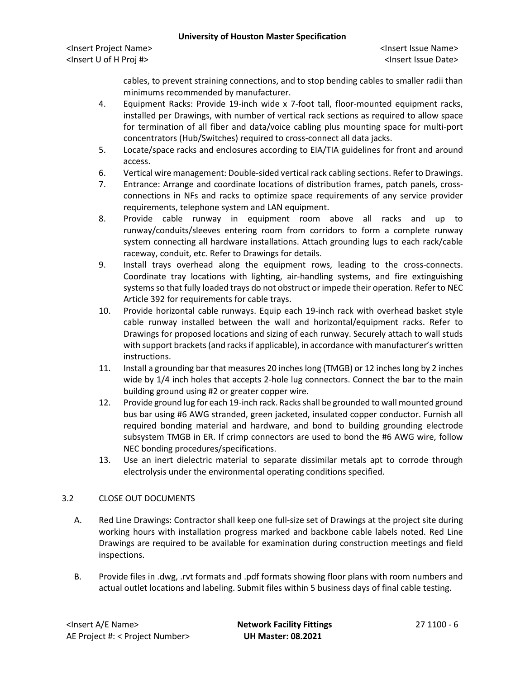## **University of Houston Master Specification**

<Insert Project Name> <Insert Issue Name> <Insert U of H Proj #> <Insert Issue Date>

cables, to prevent straining connections, and to stop bending cables to smaller radii than minimums recommended by manufacturer.

- 4. Equipment Racks: Provide 19-inch wide x 7-foot tall, floor-mounted equipment racks, installed per Drawings, with number of vertical rack sections as required to allow space for termination of all fiber and data/voice cabling plus mounting space for multi-port concentrators (Hub/Switches) required to cross-connect all data jacks.
- 5. Locate/space racks and enclosures according to EIA/TIA guidelines for front and around access.
- 6. Vertical wire management: Double-sided vertical rack cabling sections. Referto Drawings.
- 7. Entrance: Arrange and coordinate locations of distribution frames, patch panels, crossconnections in NFs and racks to optimize space requirements of any service provider requirements, telephone system and LAN equipment.
- 8. Provide cable runway in equipment room above all racks and up to runway/conduits/sleeves entering room from corridors to form a complete runway system connecting all hardware installations. Attach grounding lugs to each rack/cable raceway, conduit, etc. Refer to Drawings for details.
- 9. Install trays overhead along the equipment rows, leading to the cross-connects. Coordinate tray locations with lighting, air-handling systems, and fire extinguishing systems so that fully loaded trays do not obstruct or impede their operation. Refer to NEC Article 392 for requirements for cable trays.
- 10. Provide horizontal cable runways. Equip each 19-inch rack with overhead basket style cable runway installed between the wall and horizontal/equipment racks. Refer to Drawings for proposed locations and sizing of each runway. Securely attach to wall studs with support brackets (and racks if applicable), in accordance with manufacturer's written instructions.
- 11. Install a grounding bar that measures 20 inches long (TMGB) or 12 inches long by 2 inches wide by 1/4 inch holes that accepts 2-hole lug connectors. Connect the bar to the main building ground using #2 or greater copper wire.
- 12. Provide ground lug for each 19-inch rack. Racks shall be grounded to wall mounted ground bus bar using #6 AWG stranded, green jacketed, insulated copper conductor. Furnish all required bonding material and hardware, and bond to building grounding electrode subsystem TMGB in ER. If crimp connectors are used to bond the #6 AWG wire, follow NEC bonding procedures/specifications.
- 13. Use an inert dielectric material to separate dissimilar metals apt to corrode through electrolysis under the environmental operating conditions specified.

# 3.2 CLOSE OUT DOCUMENTS

- A. Red Line Drawings: Contractor shall keep one full-size set of Drawings at the project site during working hours with installation progress marked and backbone cable labels noted. Red Line Drawings are required to be available for examination during construction meetings and field inspections.
- B. Provide files in .dwg, .rvt formats and .pdf formats showing floor plans with room numbers and actual outlet locations and labeling. Submit files within 5 business days of final cable testing.